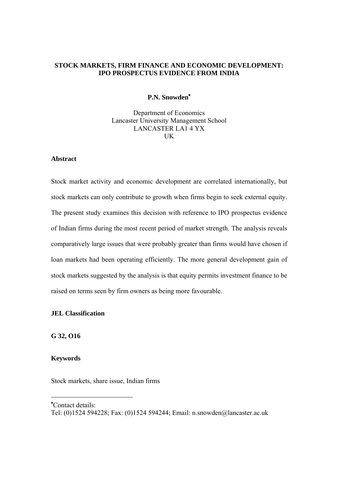#### **STOCK MARKETS, FIRM FINANCE AND ECONOMIC DEVELOPMENT: IPO PROSPECTUS EVIDENCE FROM INDIA**

#### **P.N. Snowden**[•](#page-0-0)

Department of Economics Lancaster University Management School LANCASTER LA1 4 YX UK

#### **Abstract**

Stock market activity and economic development are correlated internationally, but stock markets can only contribute to growth when firms begin to seek external equity. The present study examines this decision with reference to IPO prospectus evidence of Indian firms during the most recent period of market strength. The analysis reveals comparatively large issues that were probably greater than firms would have chosen if loan markets had been operating efficiently. The more general development gain of stock markets suggested by the analysis is that equity permits investment finance to be raised on terms seen by firm owners as being more favourable.

#### **JEL Classification**

**G 32, O16** 

#### **Keywords**

 $\overline{a}$ 

Stock markets, share issue, Indian firms

<span id="page-0-0"></span>• Contact details:

Tel: (0)1524 594228; Fax: (0)1524 594244; Email: n.snowden@lancaster.ac.uk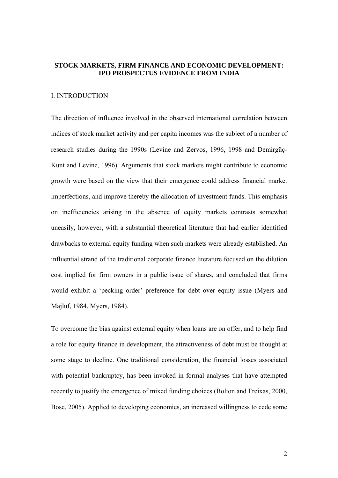#### **STOCK MARKETS, FIRM FINANCE AND ECONOMIC DEVELOPMENT: IPO PROSPECTUS EVIDENCE FROM INDIA**

#### I. INTRODUCTION

The direction of influence involved in the observed international correlation between indices of stock market activity and per capita incomes was the subject of a number of research studies during the 1990s (Levine and Zervos, 1996, 1998 and Demirgüç-Kunt and Levine, 1996). Arguments that stock markets might contribute to economic growth were based on the view that their emergence could address financial market imperfections, and improve thereby the allocation of investment funds. This emphasis on inefficiencies arising in the absence of equity markets contrasts somewhat uneasily, however, with a substantial theoretical literature that had earlier identified drawbacks to external equity funding when such markets were already established. An influential strand of the traditional corporate finance literature focused on the dilution cost implied for firm owners in a public issue of shares, and concluded that firms would exhibit a 'pecking order' preference for debt over equity issue (Myers and Majluf, 1984, Myers, 1984).

To overcome the bias against external equity when loans are on offer, and to help find a role for equity finance in development, the attractiveness of debt must be thought at some stage to decline. One traditional consideration, the financial losses associated with potential bankruptcy, has been invoked in formal analyses that have attempted recently to justify the emergence of mixed funding choices (Bolton and Freixas, 2000, Bose, 2005). Applied to developing economies, an increased willingness to cede some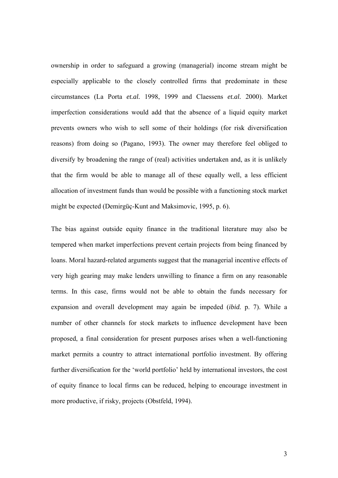ownership in order to safeguard a growing (managerial) income stream might be especially applicable to the closely controlled firms that predominate in these circumstances (La Porta *et.al.* 1998, 1999 and Claessens *et.al.* 2000). Market imperfection considerations would add that the absence of a liquid equity market prevents owners who wish to sell some of their holdings (for risk diversification reasons) from doing so (Pagano, 1993). The owner may therefore feel obliged to diversify by broadening the range of (real) activities undertaken and, as it is unlikely that the firm would be able to manage all of these equally well, a less efficient allocation of investment funds than would be possible with a functioning stock market might be expected (Demirgüç-Kunt and Maksimovic, 1995, p. 6).

The bias against outside equity finance in the traditional literature may also be tempered when market imperfections prevent certain projects from being financed by loans. Moral hazard-related arguments suggest that the managerial incentive effects of very high gearing may make lenders unwilling to finance a firm on any reasonable terms. In this case, firms would not be able to obtain the funds necessary for expansion and overall development may again be impeded (*ibid.* p. 7). While a number of other channels for stock markets to influence development have been proposed, a final consideration for present purposes arises when a well-functioning market permits a country to attract international portfolio investment. By offering further diversification for the 'world portfolio' held by international investors, the cost of equity finance to local firms can be reduced, helping to encourage investment in more productive, if risky, projects (Obstfeld, 1994).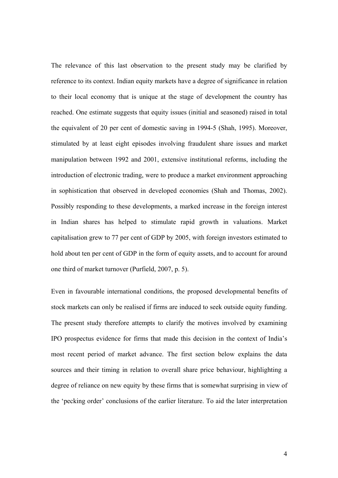The relevance of this last observation to the present study may be clarified by reference to its context. Indian equity markets have a degree of significance in relation to their local economy that is unique at the stage of development the country has reached. One estimate suggests that equity issues (initial and seasoned) raised in total the equivalent of 20 per cent of domestic saving in 1994-5 (Shah, 1995). Moreover, stimulated by at least eight episodes involving fraudulent share issues and market manipulation between 1992 and 2001, extensive institutional reforms, including the introduction of electronic trading, were to produce a market environment approaching in sophistication that observed in developed economies (Shah and Thomas, 2002). Possibly responding to these developments, a marked increase in the foreign interest in Indian shares has helped to stimulate rapid growth in valuations. Market capitalisation grew to 77 per cent of GDP by 2005, with foreign investors estimated to hold about ten per cent of GDP in the form of equity assets, and to account for around one third of market turnover (Purfield, 2007, p. 5).

Even in favourable international conditions, the proposed developmental benefits of stock markets can only be realised if firms are induced to seek outside equity funding. The present study therefore attempts to clarify the motives involved by examining IPO prospectus evidence for firms that made this decision in the context of India's most recent period of market advance. The first section below explains the data sources and their timing in relation to overall share price behaviour, highlighting a degree of reliance on new equity by these firms that is somewhat surprising in view of the 'pecking order' conclusions of the earlier literature. To aid the later interpretation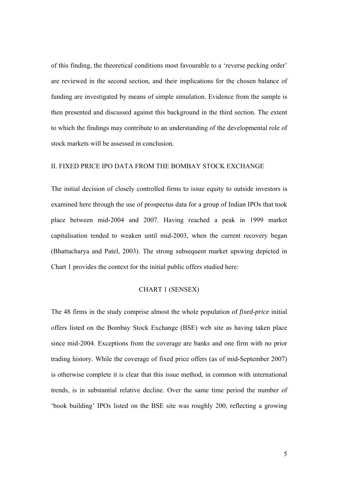of this finding, the theoretical conditions most favourable to a 'reverse pecking order' are reviewed in the second section, and their implications for the chosen balance of funding are investigated by means of simple simulation. Evidence from the sample is then presented and discussed against this background in the third section. The extent to which the findings may contribute to an understanding of the developmental role of stock markets will be assessed in conclusion.

#### II. FIXED PRICE IPO DATA FROM THE BOMBAY STOCK EXCHANGE

The initial decision of closely controlled firms to issue equity to outside investors is examined here through the use of prospectus data for a group of Indian IPOs that took place between mid-2004 and 2007. Having reached a peak in 1999 market capitalisation tended to weaken until mid-2003, when the current recovery began (Bhattacharya and Patel, 2003). The strong subsequent market upswing depicted in Chart 1 provides the context for the initial public offers studied here:

### CHART 1 (SENSEX)

The 48 firms in the study comprise almost the whole population of *fixed-price* initial offers listed on the Bombay Stock Exchange (BSE) web site as having taken place since mid-2004. Exceptions from the coverage are banks and one firm with no prior trading history. While the coverage of fixed price offers (as of mid-September 2007) is otherwise complete it is clear that this issue method, in common with international trends, is in substantial relative decline. Over the same time period the number of 'book building' IPOs listed on the BSE site was roughly 200, reflecting a growing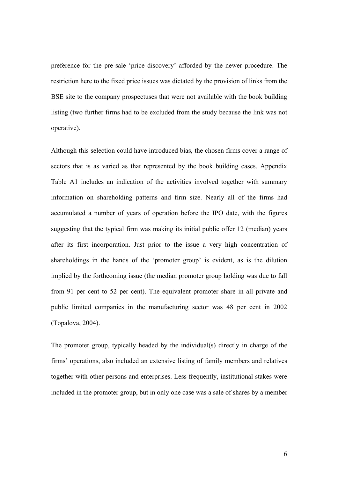preference for the pre-sale 'price discovery' afforded by the newer procedure. The restriction here to the fixed price issues was dictated by the provision of links from the BSE site to the company prospectuses that were not available with the book building listing (two further firms had to be excluded from the study because the link was not operative).

Although this selection could have introduced bias, the chosen firms cover a range of sectors that is as varied as that represented by the book building cases. Appendix Table A1 includes an indication of the activities involved together with summary information on shareholding patterns and firm size. Nearly all of the firms had accumulated a number of years of operation before the IPO date, with the figures suggesting that the typical firm was making its initial public offer 12 (median) years after its first incorporation. Just prior to the issue a very high concentration of shareholdings in the hands of the 'promoter group' is evident, as is the dilution implied by the forthcoming issue (the median promoter group holding was due to fall from 91 per cent to 52 per cent). The equivalent promoter share in all private and public limited companies in the manufacturing sector was 48 per cent in 2002 (Topalova, 2004).

The promoter group, typically headed by the individual(s) directly in charge of the firms' operations, also included an extensive listing of family members and relatives together with other persons and enterprises. Less frequently, institutional stakes were included in the promoter group, but in only one case was a sale of shares by a member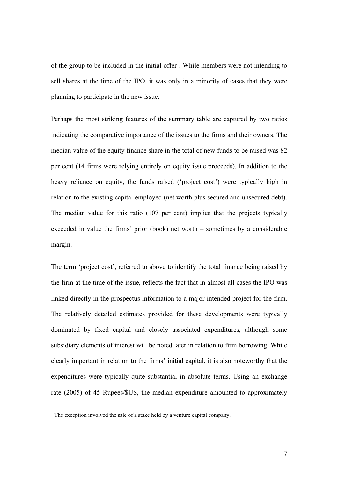of the group to be included in the initial offer<sup>1</sup>[.](#page-6-0) While members were not intending to sell shares at the time of the IPO, it was only in a minority of cases that they were planning to participate in the new issue.

Perhaps the most striking features of the summary table are captured by two ratios indicating the comparative importance of the issues to the firms and their owners. The median value of the equity finance share in the total of new funds to be raised was 82 per cent (14 firms were relying entirely on equity issue proceeds). In addition to the heavy reliance on equity, the funds raised ('project cost') were typically high in relation to the existing capital employed (net worth plus secured and unsecured debt). The median value for this ratio (107 per cent) implies that the projects typically exceeded in value the firms' prior (book) net worth – sometimes by a considerable margin.

The term 'project cost', referred to above to identify the total finance being raised by the firm at the time of the issue, reflects the fact that in almost all cases the IPO was linked directly in the prospectus information to a major intended project for the firm. The relatively detailed estimates provided for these developments were typically dominated by fixed capital and closely associated expenditures, although some subsidiary elements of interest will be noted later in relation to firm borrowing. While clearly important in relation to the firms' initial capital, it is also noteworthy that the expenditures were typically quite substantial in absolute terms. Using an exchange rate (2005) of 45 Rupees/\$US, the median expenditure amounted to approximately

 $\overline{a}$ 

<span id="page-6-0"></span><sup>&</sup>lt;sup>1</sup> The exception involved the sale of a stake held by a venture capital company.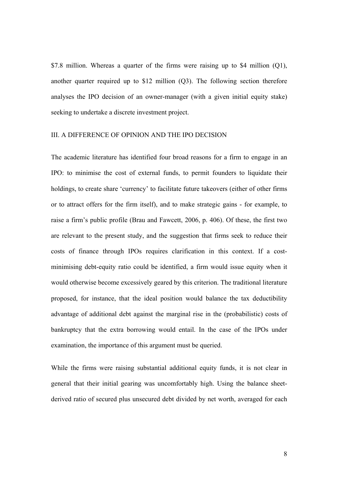\$7.8 million. Whereas a quarter of the firms were raising up to \$4 million (Q1), another quarter required up to \$12 million (Q3). The following section therefore analyses the IPO decision of an owner-manager (with a given initial equity stake) seeking to undertake a discrete investment project.

#### III. A DIFFERENCE OF OPINION AND THE IPO DECISION

The academic literature has identified four broad reasons for a firm to engage in an IPO: to minimise the cost of external funds, to permit founders to liquidate their holdings, to create share 'currency' to facilitate future takeovers (either of other firms or to attract offers for the firm itself), and to make strategic gains - for example, to raise a firm's public profile (Brau and Fawcett, 2006, p. 406). Of these, the first two are relevant to the present study, and the suggestion that firms seek to reduce their costs of finance through IPOs requires clarification in this context. If a costminimising debt-equity ratio could be identified, a firm would issue equity when it would otherwise become excessively geared by this criterion. The traditional literature proposed, for instance, that the ideal position would balance the tax deductibility advantage of additional debt against the marginal rise in the (probabilistic) costs of bankruptcy that the extra borrowing would entail. In the case of the IPOs under examination, the importance of this argument must be queried.

While the firms were raising substantial additional equity funds, it is not clear in general that their initial gearing was uncomfortably high. Using the balance sheetderived ratio of secured plus unsecured debt divided by net worth, averaged for each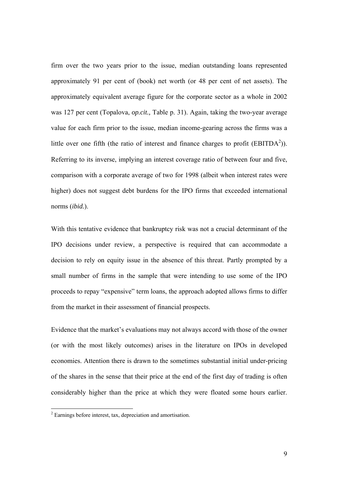firm over the two years prior to the issue, median outstanding loans represented approximately 91 per cent of (book) net worth (or 48 per cent of net assets). The approximately equivalent average figure for the corporate sector as a whole in 2002 was 127 per cent (Topalova, *op.cit.,* Table p. 31). Again, taking the two-year average value for each firm prior to the issue, median income-gearing across the firms was a little over one fifth (the ratio of interest and finance charges to profit ( $EBITDA<sup>2</sup>$ )). Referring to its inverse, implying an interest coverage ratio of between four and five, comparison with a corporate average of two for 1998 (albeit when interest rates were higher) does not suggest debt burdens for the IPO firms that exceeded international norms (*ibid.*).

With this tentative evidence that bankruptcy risk was not a crucial determinant of the IPO decisions under review, a perspective is required that can accommodate a decision to rely on equity issue in the absence of this threat. Partly prompted by a small number of firms in the sample that were intending to use some of the IPO proceeds to repay "expensive" term loans, the approach adopted allows firms to differ from the market in their assessment of financial prospects.

Evidence that the market's evaluations may not always accord with those of the owner (or with the most likely outcomes) arises in the literature on IPOs in developed economies. Attention there is drawn to the sometimes substantial initial under-pricing of the shares in the sense that their price at the end of the first day of trading is often considerably higher than the price at which they were floated some hours earlier.

<span id="page-8-0"></span> 2 Earnings before interest, tax, depreciation and amortisation.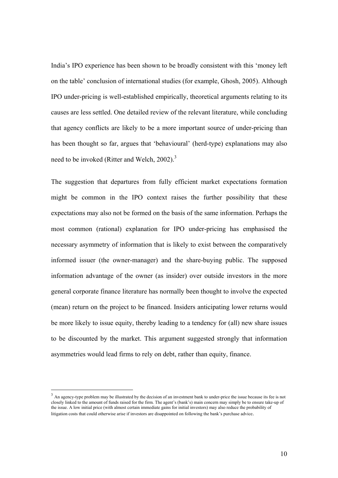India's IPO experience has been shown to be broadly consistent with this 'money left on the table' conclusion of international studies (for example, Ghosh, 2005). Although IPO under-pricing is well-established empirically, theoretical arguments relating to its causes are less settled. One detailed review of the relevant literature, while concluding that agency conflicts are likely to be a more important source of under-pricing than has been thought so far, argues that 'behavioural' (herd-type) explanations may also need to be invoked (Ritter and Welch, 2002).<sup>3</sup>

The suggestion that departures from fully efficient market expectations formation might be common in the IPO context raises the further possibility that these expectations may also not be formed on the basis of the same information. Perhaps the most common (rational) explanation for IPO under-pricing has emphasised the necessary asymmetry of information that is likely to exist between the comparatively informed issuer (the owner-manager) and the share-buying public. The supposed information advantage of the owner (as insider) over outside investors in the more general corporate finance literature has normally been thought to involve the expected (mean) return on the project to be financed. Insiders anticipating lower returns would be more likely to issue equity, thereby leading to a tendency for (all) new share issues to be discounted by the market. This argument suggested strongly that information asymmetries would lead firms to rely on debt, rather than equity, finance.

 $\overline{a}$ 

<sup>&</sup>lt;sup>3</sup> An agency-type problem may be illustrated by the decision of an investment bank to under-price the issue because its fee is not closely linked to the amount of funds raised for the firm. The agent's (bank's) main concern may simply be to ensure take-up of the issue. A low initial price (with almost certain immediate gains for initial investors) may also reduce the probability of litigation costs that could otherwise arise if investors are disappointed on following the bank's purchase advice.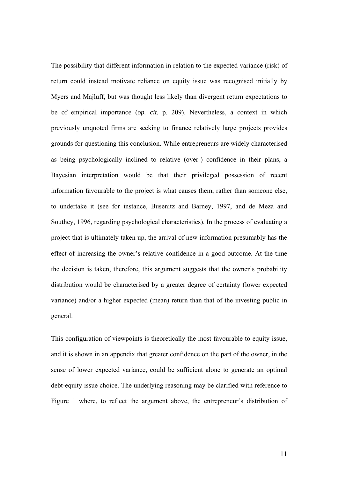The possibility that different information in relation to the expected variance (risk) of return could instead motivate reliance on equity issue was recognised initially by Myers and Majluff, but was thought less likely than divergent return expectations to be of empirical importance (*op. cit.* p. 209). Nevertheless, a context in which previously unquoted firms are seeking to finance relatively large projects provides grounds for questioning this conclusion. While entrepreneurs are widely characterised as being psychologically inclined to relative (over-) confidence in their plans, a Bayesian interpretation would be that their privileged possession of recent information favourable to the project is what causes them, rather than someone else, to undertake it (see for instance, Busenitz and Barney, 1997, and de Meza and Southey, 1996, regarding psychological characteristics). In the process of evaluating a project that is ultimately taken up, the arrival of new information presumably has the effect of increasing the owner's relative confidence in a good outcome. At the time the decision is taken, therefore, this argument suggests that the owner's probability distribution would be characterised by a greater degree of certainty (lower expected variance) and/or a higher expected (mean) return than that of the investing public in general.

This configuration of viewpoints is theoretically the most favourable to equity issue, and it is shown in an appendix that greater confidence on the part of the owner, in the sense of lower expected variance, could be sufficient alone to generate an optimal debt-equity issue choice. The underlying reasoning may be clarified with reference to Figure 1 where, to reflect the argument above, the entrepreneur's distribution of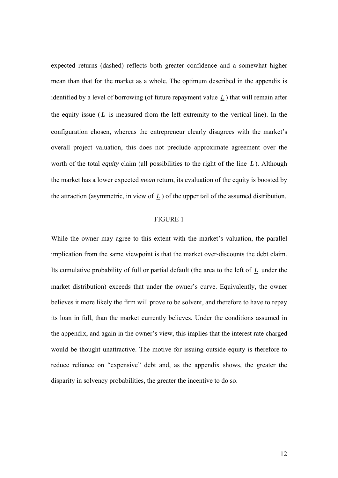expected returns (dashed) reflects both greater confidence and a somewhat higher mean than that for the market as a whole. The optimum described in the appendix is identified by a level of borrowing (of future repayment value *L* ) that will remain after the equity issue  $(L$  is measured from the left extremity to the vertical line). In the configuration chosen, whereas the entrepreneur clearly disagrees with the market's overall project valuation, this does not preclude approximate agreement over the worth of the total *equity* claim (all possibilities to the right of the line *L* ). Although the market has a lower expected *mean* return, its evaluation of the equity is boosted by the attraction (asymmetric, in view of *L* ) of the upper tail of the assumed distribution.

#### FIGURE 1

While the owner may agree to this extent with the market's valuation, the parallel implication from the same viewpoint is that the market over-discounts the debt claim. Its cumulative probability of full or partial default (the area to the left of *L* under the market distribution) exceeds that under the owner's curve. Equivalently, the owner believes it more likely the firm will prove to be solvent, and therefore to have to repay its loan in full, than the market currently believes. Under the conditions assumed in the appendix, and again in the owner's view, this implies that the interest rate charged would be thought unattractive. The motive for issuing outside equity is therefore to reduce reliance on "expensive" debt and, as the appendix shows, the greater the disparity in solvency probabilities, the greater the incentive to do so.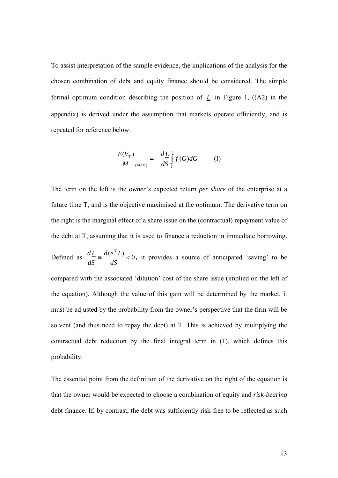To assist interpretation of the sample evidence, the implications of the analysis for the chosen combination of debt and equity finance should be considered. The simple formal optimum condition describing the position of  $L$  in Figure 1, ((A2) in the appendix) is derived under the assumption that markets operate efficiently, and is repeated for reference below:

$$
\frac{E(V_T)}{M}_{(MAX)} = -\frac{dL}{dS} \int_{L}^{\infty} f(G) dG \qquad (1)
$$

The term on the left is the *owner's* expected return *per share* of the enterprise at a future time T, and is the objective maximised at the optimum. The derivative term on the right is the marginal effect of a share issue on the (contractual) repayment value of the debt at T, assuming that it is used to finance a reduction in immediate borrowing.

Defined as  $\frac{dL}{dE} = \frac{d(e^{iT}L)}{dE} < 0$ *dS*  $d(e^{iT}L$ *dS*  $\frac{dL}{dt} = \frac{d(e^{iT}L)}{dt} < 0$ , it provides a source of anticipated 'saving' to be compared with the associated 'dilution' cost of the share issue (implied on the left of the equation). Although the value of this gain will be determined by the market, it must be adjusted by the probability from the owner's perspective that the firm will be solvent (and thus need to repay the debt) at T. This is achieved by multiplying the contractual debt reduction by the final integral term in (1), which defines this probability.

The essential point from the definition of the derivative on the right of the equation is that the owner would be expected to choose a combination of equity and *risk-bearing* debt finance. If, by contrast, the debt was sufficiently risk-free to be reflected as such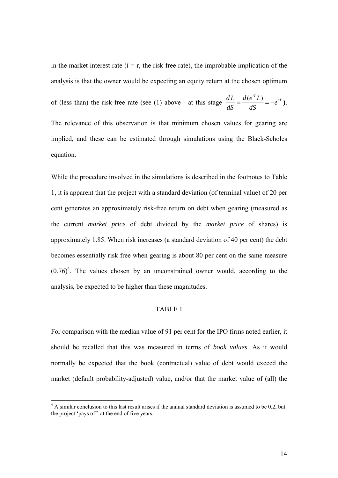in the market interest rate  $(i = r$ , the risk free rate), the improbable implication of the analysis is that the owner would be expecting an equity return at the chosen optimum

of (less than) the risk-free rate (see (1) above - at this stage  $\frac{dE}{dE} = \frac{d(e^i E)}{dE} = -e^{i\tau}$ *dS*  $d(e^{iT}L$ *dS*  $\frac{dL}{dE} \equiv \frac{d(e^{iT}L)}{dE} = -e^{rT}$ .

The relevance of this observation is that minimum chosen values for gearing are implied, and these can be estimated through simulations using the Black-Scholes equation.

While the procedure involved in the simulations is described in the footnotes to Table 1, it is apparent that the project with a standard deviation (of terminal value) of 20 per cent generates an approximately risk-free return on debt when gearing (measured as the current *market price* of debt divided by the *market price* of shares) is approximately 1.85. When risk increases (a standard deviation of 40 per cent) the debt becomes essentially risk free when gearing is about 80 per cent on the same measure  $(0.76)^4$ . The values chosen by an unconstrained owner would, according to the analysis, be expected to be higher than these magnitudes.

### TABLE 1

For comparison with the median value of 91 per cent for the IPO firms noted earlier, it should be recalled that this was measured in terms of *book values*. As it would normally be expected that the book (contractual) value of debt would exceed the market (default probability-adjusted) value, and/or that the market value of (all) the

 $\overline{a}$ 

<span id="page-13-0"></span><sup>&</sup>lt;sup>4</sup> A similar conclusion to this last result arises if the annual standard deviation is assumed to be 0.2, but the project 'pays off' at the end of five years.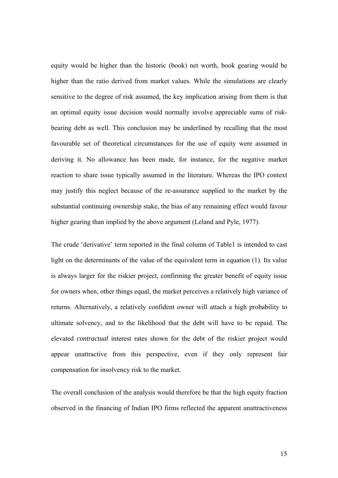equity would be higher than the historic (book) net worth, book gearing would be higher than the ratio derived from market values. While the simulations are clearly sensitive to the degree of risk assumed, the key implication arising from them is that an optimal equity issue decision would normally involve appreciable sums of riskbearing debt as well. This conclusion may be underlined by recalling that the most favourable set of theoretical circumstances for the use of equity were assumed in deriving it. No allowance has been made, for instance, for the negative market reaction to share issue typically assumed in the literature. Whereas the IPO context may justify this neglect because of the re-assurance supplied to the market by the substantial continuing ownership stake, the bias of any remaining effect would favour higher gearing than implied by the above argument (Leland and Pyle, 1977).

The crude 'derivative' term reported in the final column of Table1 is intended to cast light on the determinants of the value of the equivalent term in equation (1). Its value is always larger for the riskier project, confirming the greater benefit of equity issue for owners when, other things equal, the market perceives a relatively high variance of returns. Alternatively, a relatively confident owner will attach a high probability to ultimate solvency, and to the likelihood that the debt will have to be repaid. The elevated *contractual* interest rates shown for the debt of the riskier project would appear unattractive from this perspective, even if they only represent fair compensation for insolvency risk to the market.

The overall conclusion of the analysis would therefore be that the high equity fraction observed in the financing of Indian IPO firms reflected the apparent unattractiveness

15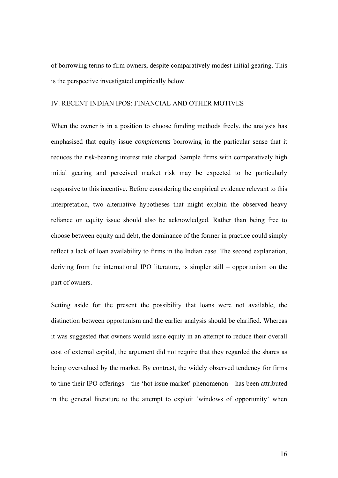of borrowing terms to firm owners, despite comparatively modest initial gearing. This is the perspective investigated empirically below.

### IV. RECENT INDIAN IPOS: FINANCIAL AND OTHER MOTIVES

When the owner is in a position to choose funding methods freely, the analysis has emphasised that equity issue *complements* borrowing in the particular sense that it reduces the risk-bearing interest rate charged. Sample firms with comparatively high initial gearing and perceived market risk may be expected to be particularly responsive to this incentive. Before considering the empirical evidence relevant to this interpretation, two alternative hypotheses that might explain the observed heavy reliance on equity issue should also be acknowledged. Rather than being free to choose between equity and debt, the dominance of the former in practice could simply reflect a lack of loan availability to firms in the Indian case. The second explanation, deriving from the international IPO literature, is simpler still – opportunism on the part of owners.

Setting aside for the present the possibility that loans were not available, the distinction between opportunism and the earlier analysis should be clarified. Whereas it was suggested that owners would issue equity in an attempt to reduce their overall cost of external capital, the argument did not require that they regarded the shares as being overvalued by the market. By contrast, the widely observed tendency for firms to time their IPO offerings – the 'hot issue market' phenomenon – has been attributed in the general literature to the attempt to exploit 'windows of opportunity' when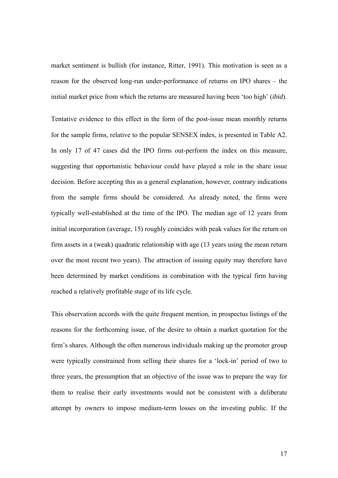market sentiment is bullish (for instance, Ritter, 1991). This motivation is seen as a reason for the observed long-run under-performance of returns on IPO shares – the initial market price from which the returns are measured having been 'too high' (*ibid*).

Tentative evidence to this effect in the form of the post-issue mean monthly returns for the sample firms, relative to the popular SENSEX index, is presented in Table A2. In only 17 of 47 cases did the IPO firms out-perform the index on this measure, suggesting that opportunistic behaviour could have played a role in the share issue decision. Before accepting this as a general explanation, however, contrary indications from the sample firms should be considered. As already noted, the firms were typically well-established at the time of the IPO. The median age of 12 years from initial incorporation (average, 15) roughly coincides with peak values for the return on firm assets in a (weak) quadratic relationship with age (13 years using the mean return over the most recent two years). The attraction of issuing equity may therefore have been determined by market conditions in combination with the typical firm having reached a relatively profitable stage of its life cycle.

This observation accords with the quite frequent mention, in prospectus listings of the reasons for the forthcoming issue, of the desire to obtain a market quotation for the firm's shares. Although the often numerous individuals making up the promoter group were typically constrained from selling their shares for a 'lock-in' period of two to three years, the presumption that an objective of the issue was to prepare the way for them to realise their early investments would not be consistent with a deliberate attempt by owners to impose medium-term losses on the investing public. If the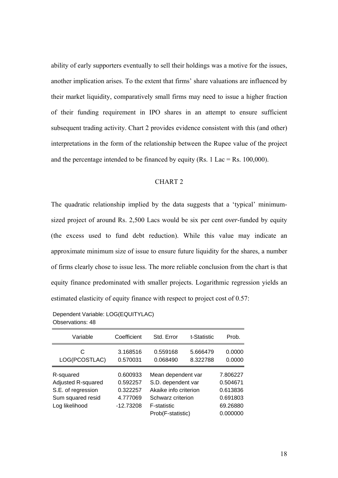ability of early supporters eventually to sell their holdings was a motive for the issues, another implication arises. To the extent that firms' share valuations are influenced by their market liquidity, comparatively small firms may need to issue a higher fraction of their funding requirement in IPO shares in an attempt to ensure sufficient subsequent trading activity. Chart 2 provides evidence consistent with this (and other) interpretations in the form of the relationship between the Rupee value of the project and the percentage intended to be financed by equity (Rs. 1 Lac = Rs. 100,000).

#### CHART 2

The quadratic relationship implied by the data suggests that a 'typical' minimumsized project of around Rs. 2,500 Lacs would be six per cent *over*-funded by equity (the excess used to fund debt reduction). While this value may indicate an approximate minimum size of issue to ensure future liquidity for the shares, a number of firms clearly chose to issue less. The more reliable conclusion from the chart is that equity finance predominated with smaller projects. Logarithmic regression yields an estimated elasticity of equity finance with respect to project cost of 0.57:

Dependent Variable: LOG(EQUITYLAC) Observations: 48

| Variable           | Coefficient | Std. Error                              | t-Statistic | Prob.                |
|--------------------|-------------|-----------------------------------------|-------------|----------------------|
| C                  | 3.168516    | 0.559168                                | 5.666479    | 0.0000               |
| LOG(PCOSTLAC)      | 0.570031    | 0.068490                                | 8.322788    | 0.0000               |
| R-squared          | 0.600933    | Mean dependent var                      | 7.806227    |                      |
| Adjusted R-squared | 0.592257    | S.D. dependent var                      | 0.504671    |                      |
| S.E. of regression | 0.322257    | Akaike info criterion                   |             | 0.613836             |
| Sum squared resid  | 4.777069    | Schwarz criterion                       |             | 0.691803             |
| Log likelihood     | $-12.73208$ | <b>F-statistic</b><br>Prob(F-statistic) |             | 69.26880<br>0.000000 |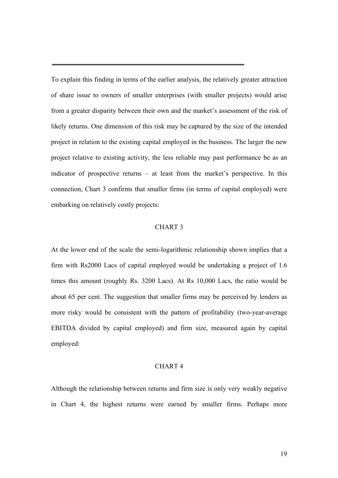To explain this finding in terms of the earlier analysis, the relatively greater attraction of share issue to owners of smaller enterprises (with smaller projects) would arise from a greater disparity between their own and the market's assessment of the risk of likely returns. One dimension of this risk may be captured by the size of the intended project in relation to the existing capital employed in the business. The larger the new project relative to existing activity, the less reliable may past performance be as an indicator of prospective returns – at least from the market's perspective. In this connection, Chart 3 confirms that smaller firms (in terms of capital employed) were embarking on relatively costly projects:

#### CHART 3

At the lower end of the scale the semi-logarithmic relationship shown implies that a firm with Rs2000 Lacs of capital employed would be undertaking a project of 1.6 times this amount (roughly Rs. 3200 Lacs). At Rs 10,000 Lacs, the ratio would be about 65 per cent. The suggestion that smaller firms may be perceived by lenders as more risky would be consistent with the pattern of profitability (two-year-average EBITDA divided by capital employed) and firm size, measured again by capital employed:

#### CHART 4

Although the relationship between returns and firm size is only very weakly negative in Chart 4, the highest returns were earned by smaller firms. Perhaps more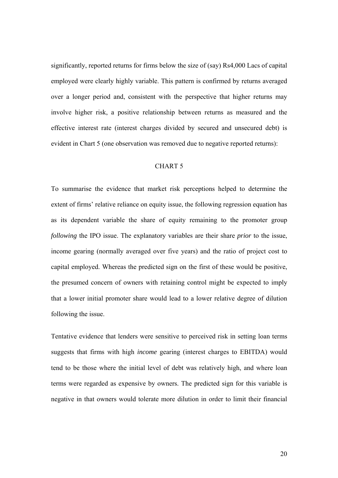significantly, reported returns for firms below the size of (say) Rs4,000 Lacs of capital employed were clearly highly variable. This pattern is confirmed by returns averaged over a longer period and, consistent with the perspective that higher returns may involve higher risk, a positive relationship between returns as measured and the effective interest rate (interest charges divided by secured and unsecured debt) is evident in Chart 5 (one observation was removed due to negative reported returns):

### CHART 5

To summarise the evidence that market risk perceptions helped to determine the extent of firms' relative reliance on equity issue, the following regression equation has as its dependent variable the share of equity remaining to the promoter group *following* the IPO issue. The explanatory variables are their share *prior* to the issue, income gearing (normally averaged over five years) and the ratio of project cost to capital employed. Whereas the predicted sign on the first of these would be positive, the presumed concern of owners with retaining control might be expected to imply that a lower initial promoter share would lead to a lower relative degree of dilution following the issue.

Tentative evidence that lenders were sensitive to perceived risk in setting loan terms suggests that firms with high *income* gearing (interest charges to EBITDA) would tend to be those where the initial level of debt was relatively high, and where loan terms were regarded as expensive by owners. The predicted sign for this variable is negative in that owners would tolerate more dilution in order to limit their financial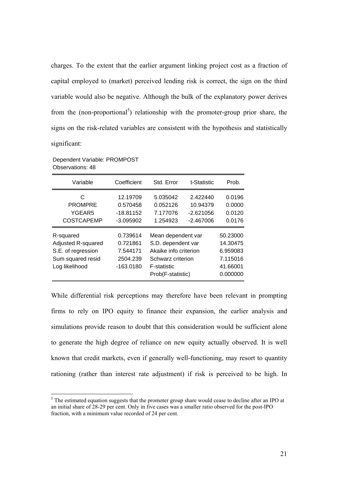charges. To the extent that the earlier argument linking project cost as a fraction of capital employed to (market) perceived lending risk is correct, the sign on the third variable would also be negative. Although the bulk of the explanatory power derives from the (non-proportional<sup>5</sup>) relationship with the promoter-group prior share, the signs on the risk-related variables are consistent with the hypothesis and statistically significant:

| Variable                                                                                     | Coefficient                                                 | Std. Error                                                                                                                        | t-Statistic                                        | Prob.                                                                |
|----------------------------------------------------------------------------------------------|-------------------------------------------------------------|-----------------------------------------------------------------------------------------------------------------------------------|----------------------------------------------------|----------------------------------------------------------------------|
| C<br><b>PROMPRE</b><br>YGEAR5<br><b>COSTCAPEMP</b>                                           | 12.19709<br>0.570458<br>$-18.81152$<br>$-3.095902$          | 5.035042<br>0.052126<br>7.177076<br>1.254923                                                                                      | 2.422440<br>10.94379<br>$-2.621056$<br>$-2.467006$ | 0.0196<br>0.0000<br>0.0120<br>0.0176                                 |
| R-squared<br>Adjusted R-squared<br>S.E. of regression<br>Sum squared resid<br>Log likelihood | 0.739614<br>0.721861<br>7.544171<br>2504.239<br>$-163.0180$ | Mean dependent var<br>S.D. dependent var<br>Akaike info criterion<br>Schwarz criterion<br><b>F-statistic</b><br>Prob(F-statistic) |                                                    | 50.23000<br>14.30475<br>6.959083<br>7.115016<br>41.66001<br>0.000000 |

Dependent Variable: PROMPOST Observations: 48

 $\overline{a}$ 

While differential risk perceptions may therefore have been relevant in prompting firms to rely on IPO equity to finance their expansion, the earlier analysis and simulations provide reason to doubt that this consideration would be sufficient alone to generate the high degree of reliance on new equity actually observed. It is well known that credit markets, even if generally well-functioning, may resort to quantity rationing (rather than interest rate adjustment) if risk is perceived to be high. In

<span id="page-20-0"></span><sup>&</sup>lt;sup>5</sup> The estimated equation suggests that the promoter group share would cease to decline after an IPO at an initial share of 28-29 per cent. Only in five cases was a smaller ratio observed for the post-IPO fraction, with a minimum value recorded of 24 per cent.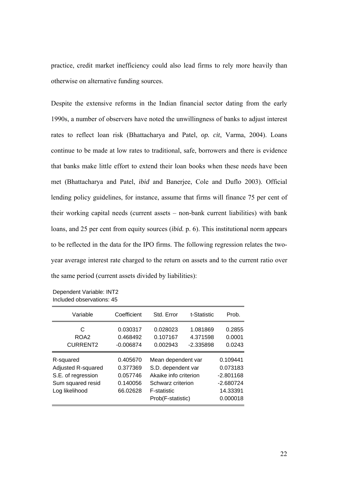practice, credit market inefficiency could also lead firms to rely more heavily than otherwise on alternative funding sources.

Despite the extensive reforms in the Indian financial sector dating from the early 1990s, a number of observers have noted the unwillingness of banks to adjust interest rates to reflect loan risk (Bhattacharya and Patel, *op. cit*, Varma, 2004). Loans continue to be made at low rates to traditional, safe, borrowers and there is evidence that banks make little effort to extend their loan books when these needs have been met (Bhattacharya and Patel, *ibid* and Banerjee, Cole and Duflo 2003). Official lending policy guidelines, for instance, assume that firms will finance 75 per cent of their working capital needs (current assets – non-bank current liabilities) with bank loans, and 25 per cent from equity sources (*ibid.* p. 6). This institutional norm appears to be reflected in the data for the IPO firms. The following regression relates the twoyear average interest rate charged to the return on assets and to the current ratio over the same period (current assets divided by liabilities):

Dependent Variable: INT2 Included observations: 45

| Variable                                                                                     | Coefficient                                              | Std. Error                                                                                                                        | t-Statistic                                                                | Prob.                      |
|----------------------------------------------------------------------------------------------|----------------------------------------------------------|-----------------------------------------------------------------------------------------------------------------------------------|----------------------------------------------------------------------------|----------------------------|
| C<br>ROA <sub>2</sub><br><b>CURRENT2</b>                                                     | 0.030317<br>0.468492<br>$-0.006874$                      | 0.028023<br>0.107167<br>0.002943                                                                                                  | 1.081869<br>4.371598<br>$-2.335898$                                        | 0.2855<br>0.0001<br>0.0243 |
| R-squared<br>Adjusted R-squared<br>S.E. of regression<br>Sum squared resid<br>Log likelihood | 0.405670<br>0.377369<br>0.057746<br>0.140056<br>66.02628 | Mean dependent var<br>S.D. dependent var<br>Akaike info criterion<br>Schwarz criterion<br><b>F-statistic</b><br>Prob(F-statistic) | 0.109441<br>0.073183<br>$-2.801168$<br>$-2.680724$<br>14.33391<br>0.000018 |                            |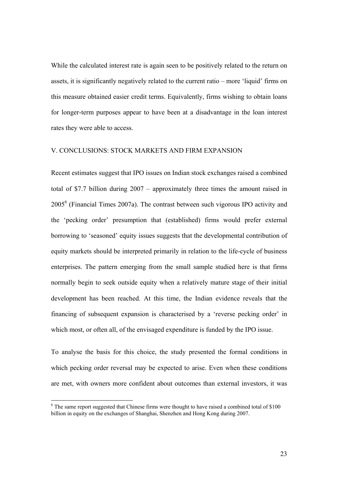While the calculated interest rate is again seen to be positively related to the return on assets, it is significantly negatively related to the current ratio – more 'liquid' firms on this measure obtained easier credit terms. Equivalently, firms wishing to obtain loans for longer-term purposes appear to have been at a disadvantage in the loan interest rates they were able to access.

#### V. CONCLUSIONS: STOCK MARKETS AND FIRM EXPANSION

Recent estimates suggest that IPO issues on Indian stock exchanges raised a combined total of \$7.7 billion during 2007 – approximately three times the amount raised in  $2005<sup>6</sup>$  (Financial Times 2007a). The contrast between such vigorous IPO activity and the 'pecking order' presumption that (established) firms would prefer external borrowing to 'seasoned' equity issues suggests that the developmental contribution of equity markets should be interpreted primarily in relation to the life-cycle of business enterprises. The pattern emerging from the small sample studied here is that firms normally begin to seek outside equity when a relatively mature stage of their initial development has been reached. At this time, the Indian evidence reveals that the financing of subsequent expansion is characterised by a 'reverse pecking order' in which most, or often all, of the envisaged expenditure is funded by the IPO issue.

To analyse the basis for this choice, the study presented the formal conditions in which pecking order reversal may be expected to arise. Even when these conditions are met, with owners more confident about outcomes than external investors, it was

 $\overline{a}$ 

<span id="page-22-0"></span> $6$  The same report suggested that Chinese firms were thought to have raised a combined total of \$100 billion in equity on the exchanges of Shanghai, Shenzhen and Hong Kong during 2007.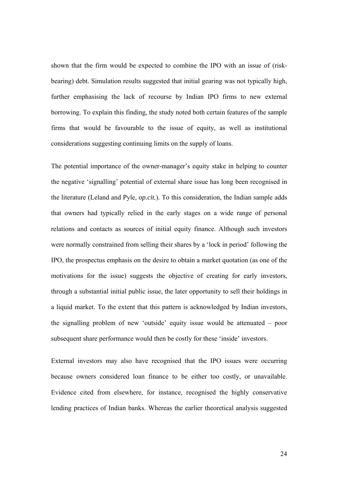shown that the firm would be expected to combine the IPO with an issue of (riskbearing) debt. Simulation results suggested that initial gearing was not typically high, further emphasising the lack of recourse by Indian IPO firms to new external borrowing. To explain this finding, the study noted both certain features of the sample firms that would be favourable to the issue of equity, as well as institutional considerations suggesting continuing limits on the supply of loans.

The potential importance of the owner-manager's equity stake in helping to counter the negative 'signalling' potential of external share issue has long been recognised in the literature (Leland and Pyle, *op.cit.*). To this consideration, the Indian sample adds that owners had typically relied in the early stages on a wide range of personal relations and contacts as sources of initial equity finance. Although such investors were normally constrained from selling their shares by a 'lock in period' following the IPO, the prospectus emphasis on the desire to obtain a market quotation (as one of the motivations for the issue) suggests the objective of creating for early investors, through a substantial initial public issue, the later opportunity to sell their holdings in a liquid market. To the extent that this pattern is acknowledged by Indian investors, the signalling problem of new 'outside' equity issue would be attenuated – poor subsequent share performance would then be costly for these 'inside' investors.

External investors may also have recognised that the IPO issues were occurring because owners considered loan finance to be either too costly, or unavailable. Evidence cited from elsewhere, for instance, recognised the highly conservative lending practices of Indian banks. Whereas the earlier theoretical analysis suggested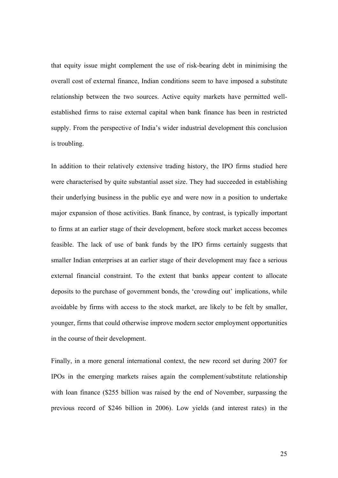that equity issue might complement the use of risk-bearing debt in minimising the overall cost of external finance, Indian conditions seem to have imposed a substitute relationship between the two sources. Active equity markets have permitted wellestablished firms to raise external capital when bank finance has been in restricted supply. From the perspective of India's wider industrial development this conclusion is troubling.

In addition to their relatively extensive trading history, the IPO firms studied here were characterised by quite substantial asset size. They had succeeded in establishing their underlying business in the public eye and were now in a position to undertake major expansion of those activities. Bank finance, by contrast, is typically important to firms at an earlier stage of their development, before stock market access becomes feasible. The lack of use of bank funds by the IPO firms certainly suggests that smaller Indian enterprises at an earlier stage of their development may face a serious external financial constraint. To the extent that banks appear content to allocate deposits to the purchase of government bonds, the 'crowding out' implications, while avoidable by firms with access to the stock market, are likely to be felt by smaller, younger, firms that could otherwise improve modern sector employment opportunities in the course of their development.

Finally, in a more general international context, the new record set during 2007 for IPOs in the emerging markets raises again the complement/substitute relationship with loan finance (\$255 billion was raised by the end of November, surpassing the previous record of \$246 billion in 2006). Low yields (and interest rates) in the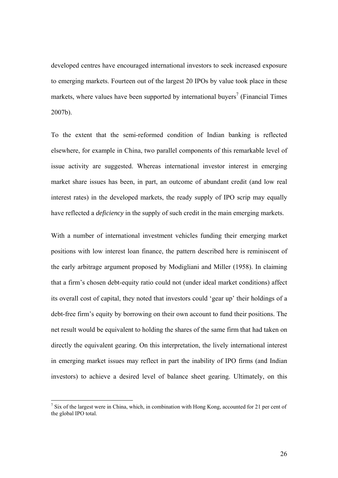developed centres have encouraged international investors to seek increased exposure to emerging markets. Fourteen out of the largest 20 IPOs by value took place in these markets, where values have been supported by international buyers<sup>7</sup> (Financial Times 2007b).

To the extent that the semi-reformed condition of Indian banking is reflected elsewhere, for example in China, two parallel components of this remarkable level of issue activity are suggested. Whereas international investor interest in emerging market share issues has been, in part, an outcome of abundant credit (and low real interest rates) in the developed markets, the ready supply of IPO scrip may equally have reflected a *deficiency* in the supply of such credit in the main emerging markets.

With a number of international investment vehicles funding their emerging market positions with low interest loan finance, the pattern described here is reminiscent of the early arbitrage argument proposed by Modigliani and Miller (1958). In claiming that a firm's chosen debt-equity ratio could not (under ideal market conditions) affect its overall cost of capital, they noted that investors could 'gear up' their holdings of a debt-free firm's equity by borrowing on their own account to fund their positions. The net result would be equivalent to holding the shares of the same firm that had taken on directly the equivalent gearing. On this interpretation, the lively international interest in emerging market issues may reflect in part the inability of IPO firms (and Indian investors) to achieve a desired level of balance sheet gearing. Ultimately, on this

 $\overline{a}$ 

<span id="page-25-0"></span> $<sup>7</sup>$  Six of the largest were in China, which, in combination with Hong Kong, accounted for 21 per cent of</sup> the global IPO total.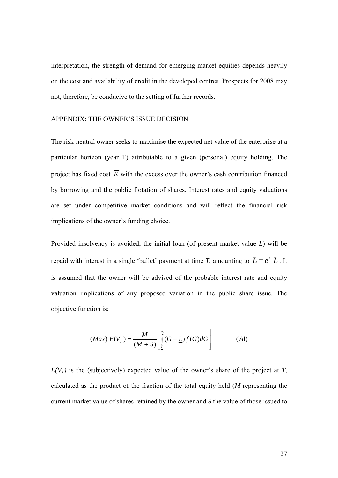interpretation, the strength of demand for emerging market equities depends heavily on the cost and availability of credit in the developed centres. Prospects for 2008 may not, therefore, be conducive to the setting of further records.

#### APPENDIX: THE OWNER'S ISSUE DECISION

The risk-neutral owner seeks to maximise the expected net value of the enterprise at a particular horizon (year T) attributable to a given (personal) equity holding. The project has fixed cost  $\overline{K}$  with the excess over the owner's cash contribution financed by borrowing and the public flotation of shares. Interest rates and equity valuations are set under competitive market conditions and will reflect the financial risk implications of the owner's funding choice.

Provided insolvency is avoided, the initial loan (of present market value *L*) will be repaid with interest in a single 'bullet' payment at time *T*, amounting to  $\underline{L} \equiv e^{iT}L$ . It is assumed that the owner will be advised of the probable interest rate and equity valuation implications of any proposed variation in the public share issue*.* The objective function is:

$$
(Max) E(V_T) = \frac{M}{(M+S)} \left[ \int_{L}^{\infty} (G - \underline{L}) f(G) dG \right]
$$
 (A1)

 $E(V_T)$  is the (subjectively) expected value of the owner's share of the project at *T*, calculated as the product of the fraction of the total equity held (*M* representing the current market value of shares retained by the owner and *S* the value of those issued to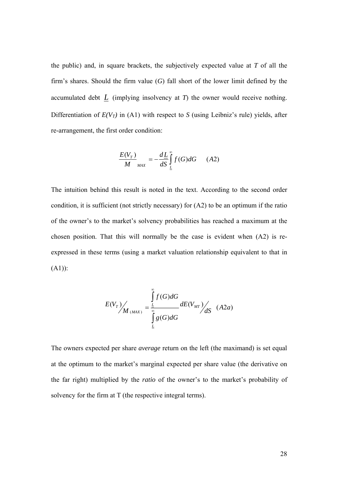the public) and, in square brackets, the subjectively expected value at *T* of all the firm's shares. Should the firm value (*G*) fall short of the lower limit defined by the accumulated debt  $L$  (implying insolvency at  $T$ ) the owner would receive nothing. Differentiation of  $E(V_T)$  in (A1) with respect to *S* (using Leibniz's rule) yields, after re-arrangement, the first order condition:

$$
\frac{E(V_T)}{M}_{MAX} = -\frac{dL}{dS} \int_{L}^{\infty} f(G) dG \qquad (A2)
$$

The intuition behind this result is noted in the text. According to the second order condition, it is sufficient (not strictly necessary) for (A2) to be an optimum if the ratio of the owner's to the market's solvency probabilities has reached a maximum at the chosen position. That this will normally be the case is evident when (A2) is reexpressed in these terms (using a market valuation relationship equivalent to that in  $(A1)$ :

$$
E(V_T) / M_{(MAX)} = \frac{\int_{L}^{\infty} f(G) dG}{\int_{L}^{\infty} g(G) dG} dE(V_{MT}) / dS
$$
 (A2*a*)

The owners expected per share *average* return on the left (the maximand) is set equal at the optimum to the market's marginal expected per share value (the derivative on the far right) multiplied by the *ratio* of the owner's to the market's probability of solvency for the firm at T (the respective integral terms).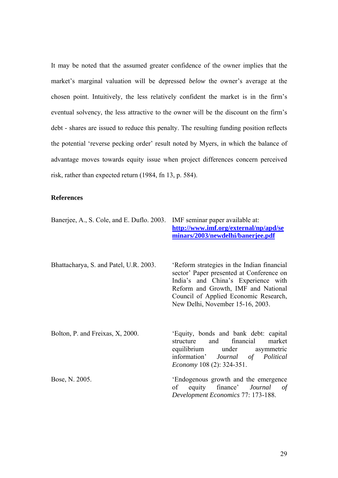It may be noted that the assumed greater confidence of the owner implies that the market's marginal valuation will be depressed *below* the owner's average at the chosen point. Intuitively, the less relatively confident the market is in the firm's eventual solvency, the less attractive to the owner will be the discount on the firm's debt - shares are issued to reduce this penalty. The resulting funding position reflects the potential 'reverse pecking order' result noted by Myers, in which the balance of advantage moves towards equity issue when project differences concern perceived risk, rather than expected return (1984, fn 13, p. 584).

### **References**

| Banerjee, A., S. Cole, and E. Duflo. 2003. | IMF seminar paper available at:<br>http://www.imf.org/external/np/apd/se<br>minars/2003/newdelhi/banerjee.pdf                                                                                                                                     |  |  |  |  |
|--------------------------------------------|---------------------------------------------------------------------------------------------------------------------------------------------------------------------------------------------------------------------------------------------------|--|--|--|--|
| Bhattacharya, S. and Patel, U.R. 2003.     | 'Reform strategies in the Indian financial<br>sector' Paper presented at Conference on<br>India's and China's Experience with<br>Reform and Growth, IMF and National<br>Council of Applied Economic Research,<br>New Delhi, November 15-16, 2003. |  |  |  |  |
| Bolton, P. and Freixas, X, 2000.           | 'Equity, bonds and bank debt: capital<br>financial<br>and<br>market<br>structure<br>equilibrium under asymmetric<br>information' Journal of Political<br><i>Economy</i> 108 (2): 324-351.                                                         |  |  |  |  |
| Bose, N. 2005.                             | 'Endogenous growth and the emergence<br>equity finance' <i>Journal</i><br>of<br>$\sigma f$<br>Development Economics 77: 173-188.                                                                                                                  |  |  |  |  |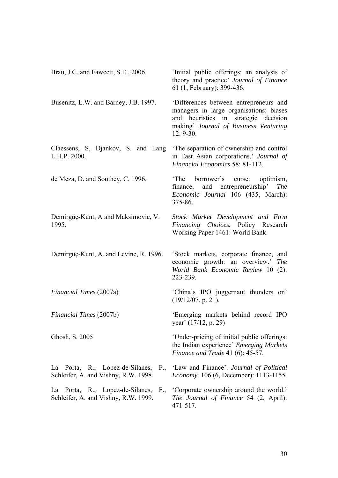| Brau, J.C. and Fawcett, S.E., 2006.                | 'Initial public offerings: an analysis of<br>theory and practice' Journal of Finance<br>61 (1, February): 399-436.                                                                   |  |  |  |  |
|----------------------------------------------------|--------------------------------------------------------------------------------------------------------------------------------------------------------------------------------------|--|--|--|--|
| Busenitz, L.W. and Barney, J.B. 1997.              | 'Differences between entrepreneurs and<br>managers in large organisations: biases<br>and heuristics in<br>strategic decision<br>making' Journal of Business Venturing<br>$12: 9-30.$ |  |  |  |  |
| Claessens, S. Djankov, S. and Lang<br>L.H.P. 2000. | The separation of ownership and control<br>in East Asian corporations.' Journal of<br>Financial Economics 58: 81-112.                                                                |  |  |  |  |
| de Meza, D. and Southey, C. 1996.                  | borrower's curse:<br>'The<br>optimism,<br>and entrepreneurship'<br>finance,<br><i>The</i><br>Economic Journal 106 (435, March):<br>375-86.                                           |  |  |  |  |
| Demirgüç-Kunt, A and Maksimovic, V.<br>1995.       | Stock Market Development and Firm<br>Financing Choices. Policy Research<br>Working Paper 1461: World Bank.                                                                           |  |  |  |  |
| Demirgüç-Kunt, A. and Levine, R. 1996.             | 'Stock markets, corporate finance, and<br>economic growth: an overview.' The<br>World Bank Economic Review 10 (2):<br>223-239.                                                       |  |  |  |  |
| Financial Times (2007a)                            | 'China's IPO juggernaut thunders on'<br>$(19/12/07, p. 21)$ .                                                                                                                        |  |  |  |  |
| Financial Times (2007b)                            | 'Emerging markets behind record IPO<br>year' (17/12, p. 29)                                                                                                                          |  |  |  |  |
| Ghosh, S. 2005                                     | 'Under-pricing of initial public offerings:<br>the Indian experience' <i>Emerging Markets</i><br>Finance and Trade 41 $(6)$ : 45-57.                                                 |  |  |  |  |
| Schleifer, A. and Vishny, R.W. 1998.               | La Porta, R., Lopez-de-Silanes, F., 'Law and Finance'. Journal of Political<br><i>Economy.</i> 106 (6, December): 1113-1155.                                                         |  |  |  |  |
| Schleifer, A. and Vishny, R.W. 1999.               | La Porta, R., Lopez-de-Silanes, F., 'Corporate ownership around the world.'<br>The Journal of Finance 54 (2, April):<br>471-517.                                                     |  |  |  |  |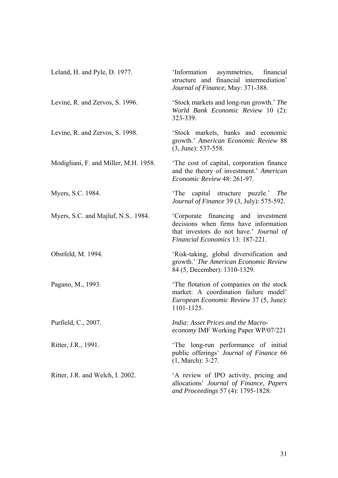| Leland, H. and Pyle, D. 1977.         | 'Information asymmetries, financial<br>structure and financial intermediation'<br>Journal of Finance, May: 371-388.                                         |
|---------------------------------------|-------------------------------------------------------------------------------------------------------------------------------------------------------------|
| Levine, R. and Zervos, S. 1996.       | 'Stock markets and long-run growth.' The<br>World Bank Economic Review 10 (2):<br>323-339.                                                                  |
| Levine, R. and Zervos, S. 1998.       | 'Stock markets, banks and economic<br>growth.' American Economic Review 88<br>$(3, June): 537-558.$                                                         |
| Modigliani, F. and Miller, M.H. 1958. | The cost of capital, corporation finance<br>and the theory of investment.' American<br>Economic Review 48: 261-97.                                          |
| Myers, S.C. 1984.                     | capital structure puzzle.' The<br>'The<br><i>Journal of Finance</i> 39 (3, July): 575-592.                                                                  |
| Myers, S.C. and Majluf, N.S., 1984.   | 'Corporate financing and investment<br>decisions when firms have information<br>that investors do not have.' Journal of<br>Financial Economics 13: 187-221. |
| Obstfeld, M. 1994.                    | 'Risk-taking, global diversification and<br>growth.' The American Economic Review<br>84 (5, December): 1310-1329.                                           |
| Pagano, M., 1993.                     | 'The flotation of companies on the stock<br>market: A coordination failure model'<br>European Economic Review 37 (5, June):<br>1101-1125.                   |
| Purfield, C., 2007.                   | India: Asset Prices and the Macro-<br>economy IMF Working Paper WP/07/221                                                                                   |
| Ritter, J.R., 1991.                   | The long-run performance of initial<br>public offerings' Journal of Finance 66<br>$(1, March): 3-27.$                                                       |
| Ritter, J.R. and Welch, I. 2002.      | A review of IPO activity, pricing and<br>allocations' Journal of Finance, Papers<br>and Proceedings 57 (4): 1795-1828.                                      |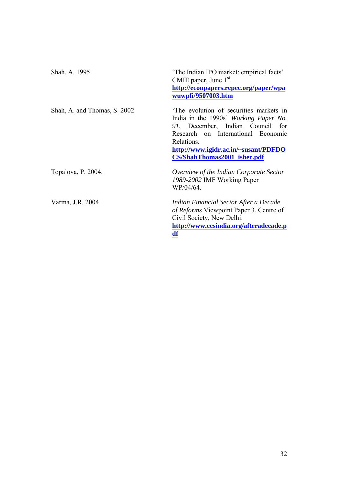| Shah, A. 1995                | 'The Indian IPO market: empirical facts'<br>CMIE paper, June $1st$ .                                                                                                                                                                                  |  |  |  |  |
|------------------------------|-------------------------------------------------------------------------------------------------------------------------------------------------------------------------------------------------------------------------------------------------------|--|--|--|--|
|                              | http://econpapers.repec.org/paper/wpa<br>wuwpfi/9507003.htm                                                                                                                                                                                           |  |  |  |  |
| Shah, A. and Thomas, S. 2002 | The evolution of securities markets in<br>India in the 1990s' Working Paper No.<br>91, December, Indian Council for<br>Research on International Economic<br>Relations.<br>http://www.igidr.ac.in/~susant/PDFDO<br><b>CS/ShahThomas2001_isher.pdf</b> |  |  |  |  |
| Topalova, P. 2004.           | Overview of the Indian Corporate Sector<br>1989-2002 IMF Working Paper<br>WP/04/64.                                                                                                                                                                   |  |  |  |  |
| Varma, J.R. 2004             | Indian Financial Sector After a Decade<br>of Reforms Viewpoint Paper 3, Centre of<br>Civil Society, New Delhi.<br>http://www.ccsindia.org/afteradecade.p<br><u>df</u>                                                                                 |  |  |  |  |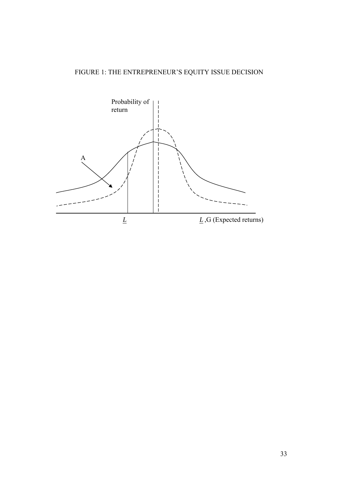# FIGURE 1: THE ENTREPRENEUR'S EQUITY ISSUE DECISION

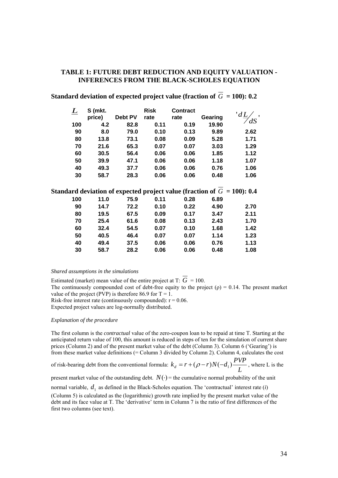#### **TABLE 1: FUTURE DEBT REDUCTION AND EQUITY VALUATION - INFERENCES FROM THE BLACK-SCHOLES EQUATION**

| L   | S (mkt. |         | <b>Risk</b> | <b>Contract</b>                                                            |         |      |
|-----|---------|---------|-------------|----------------------------------------------------------------------------|---------|------|
|     | price)  | Debt PV | rate        | rate                                                                       | Gearing |      |
| 100 | 4.2     | 82.8    | 0.11        | 0.19                                                                       | 19.90   |      |
| 90  | 8.0     | 79.0    | 0.10        | 0.13                                                                       | 9.89    | 2.62 |
| 80  | 13.8    | 73.1    | 0.08        | 0.09                                                                       | 5.28    | 1.71 |
| 70  | 21.6    | 65.3    | 0.07        | 0.07                                                                       | 3.03    | 1.29 |
| 60  | 30.5    | 56.4    | 0.06        | 0.06                                                                       | 1.85    | 1.12 |
| 50  | 39.9    | 47.1    | 0.06        | 0.06                                                                       | 1.18    | 1.07 |
| 40  | 49.3    | 37.7    | 0.06        | 0.06                                                                       | 0.76    | 1.06 |
| 30  | 58.7    | 28.3    | 0.06        | 0.06                                                                       | 0.48    | 1.06 |
|     |         |         |             |                                                                            |         |      |
|     |         |         |             | Standard deviation of expected project value (fraction of $G = 100$ ): 0.4 |         |      |
| 100 | 11.0    | 75.9    | 0.11        | 0.28                                                                       | 6.89    |      |
| 90  | 14.7    | 72.2    | 0.10        | 0.22                                                                       | 4.90    | 2.70 |
| 80  | 19.5    | 67.5    | 0.09        | 0.17                                                                       | 3.47    | 2.11 |
| 70  | 25.4    | 61.6    | 0.08        | 0.13                                                                       | 2.43    | 1.70 |
| 60  | 32.4    | 54.5    | 0.07        | 0.10                                                                       | 1.68    | 1.42 |
| 50  | 40.5    | 46.4    | 0.07        | 0.07                                                                       | 1.14    | 1.23 |
| 40  | 49.4    | 37.5    | 0.06        | 0.06                                                                       | 0.76    | 1.13 |
| 30  | 58.7    | 28.2    | 0.06        | 0.06                                                                       | 0.48    | 1.08 |
|     |         |         |             |                                                                            |         |      |

## **Standard deviation of expected project value (fraction of**  $\overline{G}$  **= 100): 0.2**

#### *Shared assumptions in the simulations*

Estimated (market) mean value of the entire project at T:  $\overline{G} = 100$ . The continuously compounded cost of debt-free equity to the project  $(\rho) = 0.14$ . The present market

value of the project (PVP) is therefore 86.9 for  $T = 1$ .

Risk-free interest rate (continuously compounded):  $r = 0.06$ .

Expected project values are log-normally distributed.

#### *Explanation of the procedure*

The first column is the *contractual* value of the zero-coupon loan to be repaid at time T. Starting at the anticipated return value of 100, this amount is reduced in steps of ten for the simulation of current share prices (Column 2) and of the present market value of the debt (Column 3). Column 6 ('Gearing') is from these market value definitions (= Column 3 divided by Column 2). Column 4, calculates the cost

of risk-bearing debt from the conventional formula:  $k_d = r + (\rho - r)N(-d_1)\frac{N}{L}$  $k_d = r + (\rho - r)N(-d_1) \frac{PVP}{I}$ , where L is the

present market value of the outstanding debt.  $N(\cdot)$  = the cumulative normal probability of the unit

normal variable,  $d_1$  as defined in the Black-Scholes equation. The 'contractual' interest rate (*i*) (Column 5) is calculated as the (logarithmic) growth rate implied by the present market value of the debt and its face value at T. The 'derivative' term in Column 7 is the ratio of first differences of the first two columns (see text).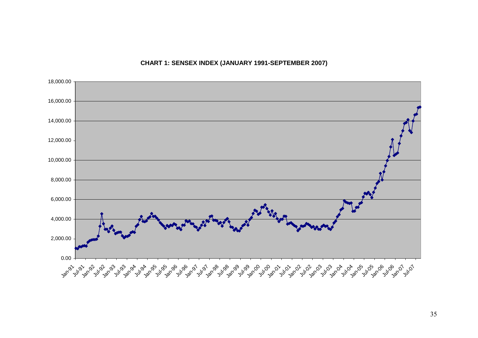**CHART 1: SENSEX INDEX (JANUARY 1991-SEPTEMBER 2007)**

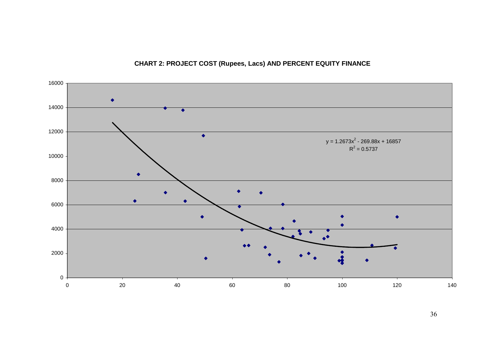

# **CHART 2: PROJECT COST (Rupees, Lacs) AND PERCENT EQUITY FINANCE**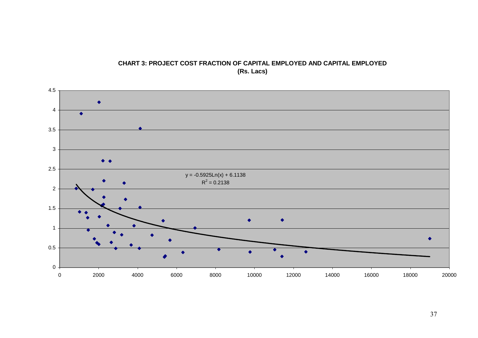

#### **CHART 3: PROJECT COST FRACTION OF CAPITAL EMPLOYED AND CAPITAL EMPLOYED (Rs. Lacs)**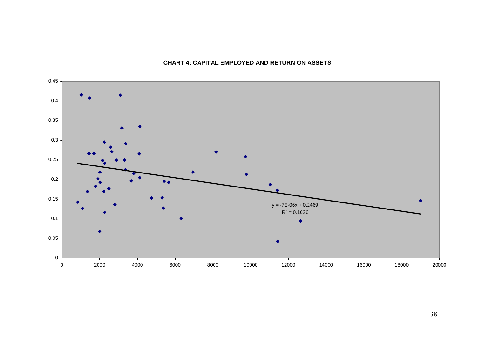

#### **CHART 4: CAPITAL EMPLOYED AND RETURN ON ASSETS**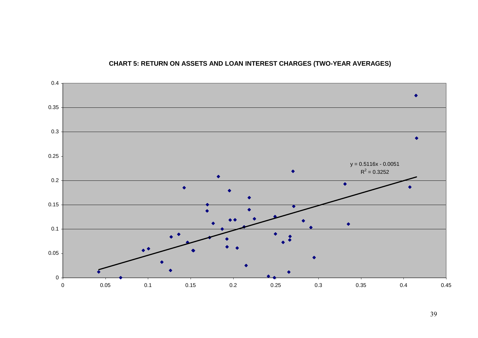

## **CHART 5: RETURN ON ASSETS AND LOAN INTEREST CHARGES (TWO-YEAR AVERAGES)**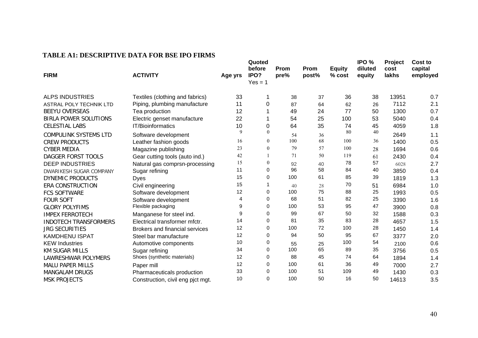| <b>FIRM</b>                  | <b>ACTIVITY</b>                       | Age yrs | Quoted<br>before<br>IPO?<br>$Yes = 1$ | Prom<br>pre% | Prom<br>post% | <b>Equity</b><br>% cost | IPO %<br>diluted<br>equity | Project<br>cost<br>lakhs | Cost to<br>capital<br>employed |
|------------------------------|---------------------------------------|---------|---------------------------------------|--------------|---------------|-------------------------|----------------------------|--------------------------|--------------------------------|
| <b>ALPS INDUSTRIES</b>       | Textiles (clothing and fabrics)       | 33      |                                       | 38           | 37            | 36                      | 38                         | 13951                    | 0.7                            |
| ASTRAL POLY TECHNIK LTD      | Piping, plumbing manufacture          | 11      | 0                                     | 87           | 64            | 62                      | 26                         | 7112                     | 2.1                            |
| <b>BEEYU OVERSEAS</b>        | Tea production                        | 12      |                                       | 49           | 24            | 77                      | 50                         | 1300                     | 0.7                            |
| <b>BIRLA POWER SOLUTIONS</b> | Electric genset manufacture           | 22      |                                       | 54           | 25            | 100                     | 53                         | 5040                     | 0.4                            |
| <b>CELESTIAL LABS</b>        | <b>IT/Bioinformatics</b>              | 10      | 0                                     | 64           | 35            | 74                      | 45                         | 4059                     | 1.8                            |
| <b>COMPULINK SYSTEMS LTD</b> | Software development                  | 9       | $\overline{0}$                        | 54           | 36            | 80                      | 40                         | 2649                     | 1.1                            |
| <b>CREW PRODUCTS</b>         | Leather fashion goods                 | 16      | $\overline{0}$                        | 100          | 68            | 100                     | 36                         | 1400                     | 0.5                            |
| <b>CYBER MEDIA</b>           | Magazine publishing                   | 23      | $\theta$                              | 79           | 57            | 100                     | 28                         | 1694                     | 0.6                            |
| DAGGER FORST TOOLS           | Gear cutting tools (auto ind.)        | 42      |                                       | 71           | 50            | 119                     | 61                         | 2430                     | 0.4                            |
| <b>DEEP INDUSTRIES</b>       | Natural gas comprsn-processing        | 15      | $\boldsymbol{0}$                      | 92           | 40            | 78                      | 57                         | 6028                     | 2.7                            |
| DWARIKESH SUGAR COMPANY      | Sugar refining                        | 11      | 0                                     | 96           | 58            | 84                      | 40                         | 3850                     | 0.4                            |
| <b>DYNEMIC PRODUCTS</b>      | <b>Dyes</b>                           | 15      | 0                                     | 100          | 61            | 85                      | 39                         | 1819                     | 1.3                            |
| <b>ERA CONSTRUCTION</b>      | Civil engineering                     | 15      |                                       | 40           | 28            | 70                      | 51                         | 6984                     | 1.0                            |
| <b>FCS SOFTWARE</b>          | Software development                  | 12      | 0                                     | 100          | 75            | 88                      | 25                         | 1993                     | 0.5                            |
| <b>FOUR SOFT</b>             | Software development                  | 4       | 0                                     | 68           | 51            | 82                      | 25                         | 3390                     | 1.6                            |
| <b>GLORY POLYFIMS</b>        | Flexible packaging                    | 9       | $\Omega$                              | 100          | 53            | 95                      | 47                         | 3900                     | 0.8                            |
| <b>IMPEX FERROTECH</b>       | Manganese for steel ind.              | 9       | 0                                     | 99           | 67            | 50                      | 32                         | 1588                     | 0.3                            |
| <b>INDOTECH TRANSFORMERS</b> | Electrical transformer mfctr.         | 14      | 0                                     | 81           | 35            | 83                      | 28                         | 4657                     | 1.5                            |
| <b>JRG SECURITIES</b>        | <b>Brokers and financial services</b> | 12      | 0                                     | 100          | 72            | 100                     | 28                         | 1450                     | 1.4                            |
| <b>KAMDHENU ISPAT</b>        | Steel bar manufacture                 | 12      | 0                                     | 94           | 50            | 95                      | 67                         | 3377                     | 2.0                            |
| <b>KEW Industries</b>        | Automotive components                 | 10      | 0                                     | 55           | 25            | 100                     | 54                         | 2100                     | 0.6                            |
| <b>KM SUGAR MILLS</b>        | Sugar refining                        | 34      | 0                                     | 100          | 65            | 89                      | 35                         | 3756                     | 0.5                            |
| <b>LAWRESHWAR POLYMERS</b>   | Shoes (synthetic materials)           | 12      | 0                                     | 88           | 45            | 74                      | 64                         | 1894                     | 1.4                            |
| <b>MALU PAPER MILLS</b>      | Paper mill                            | 12      | 0                                     | 100          | 61            | 36                      | 49                         | 7000                     | 2.7                            |
| <b>MANGALAM DRUGS</b>        | Pharmaceuticals production            | 33      | 0                                     | 100          | 51            | 109                     | 49                         | 1430                     | 0.3                            |
| <b>MSK PROJECTS</b>          | Construction, civil eng pict mgt.     | 10      | 0                                     | 100          | 50            | 16                      | 50                         | 14613                    | 3.5                            |

#### **TABLE A1: DESCRIPTIVE DATA FOR BSE IPO FIRMS**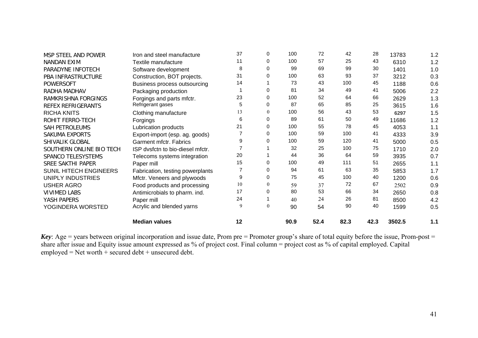| MSP STEEL AND POWER      | Iron and steel manufacture       | 37 | 0            | 100  | 72   | 42   | 28   | 13783  | 1.2 |
|--------------------------|----------------------------------|----|--------------|------|------|------|------|--------|-----|
| NANDAN EXIM              | Textile manufacture              | 11 | 0            | 100  | 57   | 25   | 43   | 6310   | 1.2 |
| PARADYNE INFOTECH        | Software development             | 8  | 0            | 99   | 69   | 99   | 30   | 1401   | 1.0 |
| PBA INFRASTRUCTURE       | Construction, BOT projects.      | 31 | 0            | 100  | 63   | 93   | 37   | 3212   | 0.3 |
| <b>POWERSOFT</b>         | Business process outsourcing     | 14 |              | 73   | 43   | 100  | 45   | 1188   | 0.6 |
| RADHA MADHAV             | Packaging production             |    | 0            | 81   | 34   | 49   | 41   | 5006   | 2.2 |
| RAMKRISHNA FORGINGS      | Forgings and parts mfctr.        | 23 | 0            | 100  | 52   | 64   | 66   | 2629   | 1.3 |
| REFEX REFRIGERANTS       | Refrigerant gases                | 5  | 0            | 87   | 65   | 85   | 25   | 3615   | 1.6 |
| <b>RICHA KNITS</b>       | Clothing manufacture             | 13 | $\mathbf{0}$ | 100  | 56   | 43   | 53   | 6297   | 1.5 |
| ROHIT FERRO-TECH         | Forgings                         | 6  | 0            | 89   | 61   | 50   | 49   | 11686  | 1.2 |
| <b>SAH PETROLEUMS</b>    | Lubrication products             | 21 | $\mathbf 0$  | 100  | 55   | 78   | 45   | 4053   | 1.1 |
| <b>SAKUMA EXPORTS</b>    | Export-import (esp. ag. goods)   |    | 0            | 100  | 59   | 100  | 41   | 4333   | 3.9 |
| SHIVALIK GLOBAL          | Garment mfctr. Fabrics           | 9  | 0            | 100  | 59   | 120  | 41   | 5000   | 0.5 |
| SOUTHERN ONLINE BIO TECH | ISP dysfctn to bio-diesel mfctr. |    |              | 32   | 25   | 100  | 75   | 1710   | 2.0 |
| SPANCO TELESYSTEMS       | Telecoms systems integration     | 20 |              | 44   | 36   | 64   | 59   | 3935   | 0.7 |
| SREE SAKTHI PAPER        | Paper mill                       | 15 | 0            | 100  | 49   | 111  | 51   | 2655   | 1.1 |
| SUNIL HITECH ENGINEERS   | Fabrication, testing powerplants |    | 0            | 94   | 61   | 63   | 35   | 5853   | 1.7 |
| <b>UNIPLY INDUSTRIES</b> | Mfctr. Veneers and plywoods      | 9  | 0            | 75   | 45   | 100  | 40   | 1200   | 0.6 |
| <b>USHER AGRO</b>        | Food products and processing     | 10 | $\mathbf{0}$ | 59   | 37   | 72   | 67   | 2502   | 0.9 |
| <b>VIVIMED LABS</b>      | Antimicrobials to pharm. ind.    | 17 | 0            | 80   | 53   | 66   | 34   | 2650   | 0.8 |
| YASH PAPERS              | Paper mill                       | 24 |              | 40   | 24   | 26   | 81   | 8500   | 4.2 |
| YOGINDERA WORSTED        | Acrylic and blended yarns        | 9  | $\mathbf{0}$ | 90   | 54   | 90   | 40   | 1599   | 0.5 |
|                          | <b>Median values</b>             | 12 |              | 90.9 | 52.4 | 82.3 | 42.3 | 3502.5 | 1.1 |

*Key*: Age = years between original incorporation and issue date, Prom pre = Promoter group's share of total equity before the issue, Prom-post = share after issue and Equity issue amount expressed as % of project cost. Final column = project cost as % of capital employed. Capital  $employd = Net worth + secured debt + unsecured debt.$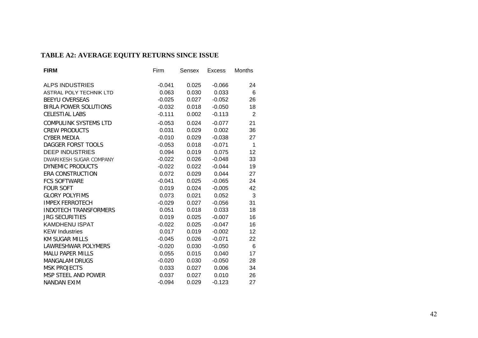# **TABLE A2: AVERAGE EQUITY RETURNS SINCE ISSUE**

| <b>FIRM</b>                    | Firm     | Sensex | <b>Excess</b> | Months |
|--------------------------------|----------|--------|---------------|--------|
| <b>ALPS INDUSTRIES</b>         | $-0.041$ | 0.025  | $-0.066$      | 24     |
| <b>ASTRAL POLY TECHNIK LTD</b> | 0.063    | 0.030  | 0.033         | 6      |
| <b>BEEYU OVERSEAS</b>          | $-0.025$ | 0.027  | $-0.052$      | 26     |
| <b>BIRLA POWER SOLUTIONS</b>   | $-0.032$ | 0.018  | $-0.050$      | 18     |
| <b>CELESTIAL LABS</b>          | $-0.111$ | 0.002  | $-0.113$      | 2      |
| <b>COMPULINK SYSTEMS LTD</b>   | $-0.053$ | 0.024  | $-0.077$      | 21     |
| <b>CREW PRODUCTS</b>           | 0.031    | 0.029  | 0.002         | 36     |
| <b>CYBER MEDIA</b>             | $-0.010$ | 0.029  | $-0.038$      | 27     |
| DAGGER FORST TOOLS             | $-0.053$ | 0.018  | $-0.071$      | 1      |
| <b>DEEP INDUSTRIES</b>         | 0.094    | 0.019  | 0.075         | 12     |
| DWARIKESH SUGAR COMPANY        | $-0.022$ | 0.026  | $-0.048$      | 33     |
| <b>DYNEMIC PRODUCTS</b>        | $-0.022$ | 0.022  | $-0.044$      | 19     |
| ERA CONSTRUCTION               | 0.072    | 0.029  | 0.044         | 27     |
| <b>FCS SOFTWARE</b>            | $-0.041$ | 0.025  | $-0.065$      | 24     |
| <b>FOUR SOFT</b>               | 0.019    | 0.024  | $-0.005$      | 42     |
| <b>GLORY POLYFIMS</b>          | 0.073    | 0.021  | 0.052         | 3      |
| <b>IMPEX FERROTECH</b>         | $-0.029$ | 0.027  | $-0.056$      | 31     |
| <b>INDOTECH TRANSFORMERS</b>   | 0.051    | 0.018  | 0.033         | 18     |
| <b>JRG SECURITIES</b>          | 0.019    | 0.025  | $-0.007$      | 16     |
| <b>KAMDHENU ISPAT</b>          | $-0.022$ | 0.025  | $-0.047$      | 16     |
| <b>KEW Industries</b>          | 0.017    | 0.019  | $-0.002$      | 12     |
| KM SUGAR MILLS                 | $-0.045$ | 0.026  | $-0.071$      | 22     |
| <b>LAWRESHWAR POLYMERS</b>     | $-0.020$ | 0.030  | $-0.050$      | 6      |
| <b>MALU PAPER MILLS</b>        | 0.055    | 0.015  | 0.040         | 17     |
| <b>MANGALAM DRUGS</b>          | $-0.020$ | 0.030  | $-0.050$      | 28     |
| <b>MSK PROJECTS</b>            | 0.033    | 0.027  | 0.006         | 34     |
| MSP STEEL AND POWER            | 0.037    | 0.027  | 0.010         | 26     |
| <b>NANDAN EXIM</b>             | $-0.094$ | 0.029  | $-0.123$      | 27     |